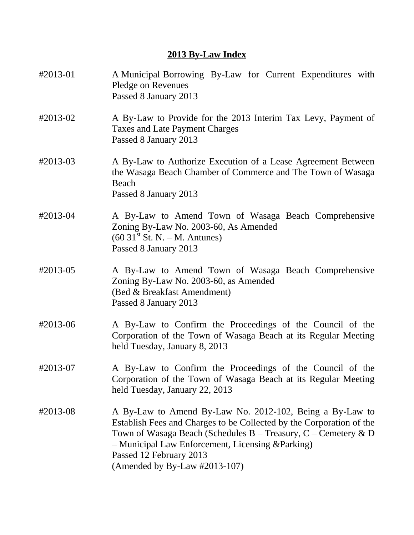### **2013 By-Law Index**

| #2013-01 | A Municipal Borrowing By-Law for Current Expenditures with<br>Pledge on Revenues<br>Passed 8 January 2013                                                                                                                                                                                                               |
|----------|-------------------------------------------------------------------------------------------------------------------------------------------------------------------------------------------------------------------------------------------------------------------------------------------------------------------------|
| #2013-02 | A By-Law to Provide for the 2013 Interim Tax Levy, Payment of<br><b>Taxes and Late Payment Charges</b><br>Passed 8 January 2013                                                                                                                                                                                         |
| #2013-03 | A By-Law to Authorize Execution of a Lease Agreement Between<br>the Wasaga Beach Chamber of Commerce and The Town of Wasaga<br>Beach<br>Passed 8 January 2013                                                                                                                                                           |
| #2013-04 | A By-Law to Amend Town of Wasaga Beach Comprehensive<br>Zoning By-Law No. 2003-60, As Amended<br>$(60 \ 31st$ St. N. – M. Antunes)<br>Passed 8 January 2013                                                                                                                                                             |
| #2013-05 | A By-Law to Amend Town of Wasaga Beach Comprehensive<br>Zoning By-Law No. 2003-60, as Amended<br>(Bed & Breakfast Amendment)<br>Passed 8 January 2013                                                                                                                                                                   |
| #2013-06 | A By-Law to Confirm the Proceedings of the Council of the<br>Corporation of the Town of Wasaga Beach at its Regular Meeting<br>held Tuesday, January 8, 2013                                                                                                                                                            |
| #2013-07 | A By-Law to Confirm the Proceedings of the Council of the<br>Corporation of the Town of Wasaga Beach at its Regular Meeting<br>held Tuesday, January 22, 2013                                                                                                                                                           |
| #2013-08 | A By-Law to Amend By-Law No. 2012-102, Being a By-Law to<br>Establish Fees and Charges to be Collected by the Corporation of the<br>Town of Wasaga Beach (Schedules B – Treasury, C – Cemetery & D<br>- Municipal Law Enforcement, Licensing & Parking)<br>Passed 12 February 2013<br>(Amended by By-Law $\#2013-107$ ) |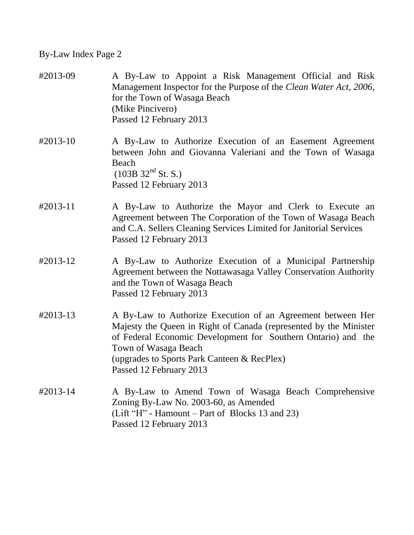| #2013-09             | A By-Law to Appoint a Risk Management Official and Risk<br>Management Inspector for the Purpose of the Clean Water Act, 2006,<br>for the Town of Wasaga Beach<br>(Mike Pincivero)<br>Passed 12 February 2013                                                                                        |
|----------------------|-----------------------------------------------------------------------------------------------------------------------------------------------------------------------------------------------------------------------------------------------------------------------------------------------------|
| $#2013-10$           | A By-Law to Authorize Execution of an Easement Agreement<br>between John and Giovanna Valeriani and the Town of Wasaga<br>Beach<br>$(103B\ 32nd$ St. S.)<br>Passed 12 February 2013                                                                                                                 |
| $\text{\#}2013 - 11$ | A By-Law to Authorize the Mayor and Clerk to Execute an<br>Agreement between The Corporation of the Town of Wasaga Beach<br>and C.A. Sellers Cleaning Services Limited for Janitorial Services<br>Passed 12 February 2013                                                                           |
| #2013-12             | A By-Law to Authorize Execution of a Municipal Partnership<br>Agreement between the Nottawasaga Valley Conservation Authority<br>and the Town of Wasaga Beach<br>Passed 12 February 2013                                                                                                            |
| #2013-13             | A By-Law to Authorize Execution of an Agreement between Her<br>Majesty the Queen in Right of Canada (represented by the Minister<br>of Federal Economic Development for Southern Ontario) and the<br>Town of Wasaga Beach<br>(upgrades to Sports Park Canteen & RecPlex)<br>Passed 12 February 2013 |
| #2013-14             | A By-Law to Amend Town of Wasaga Beach Comprehensive<br>Zoning By-Law No. 2003-60, as Amended<br>(Lift "H" - Hamount – Part of Blocks 13 and 23)<br>Passed 12 February 2013                                                                                                                         |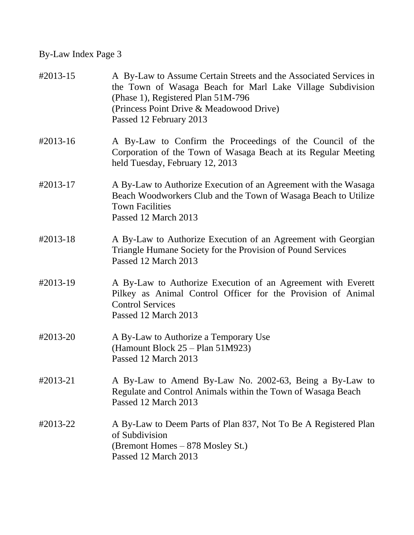| $\text{\#}2013 - 15$ | A By-Law to Assume Certain Streets and the Associated Services in<br>the Town of Wasaga Beach for Marl Lake Village Subdivision<br>(Phase 1), Registered Plan 51M-796<br>(Princess Point Drive & Meadowood Drive)<br>Passed 12 February 2013 |
|----------------------|----------------------------------------------------------------------------------------------------------------------------------------------------------------------------------------------------------------------------------------------|
| #2013-16             | A By-Law to Confirm the Proceedings of the Council of the<br>Corporation of the Town of Wasaga Beach at its Regular Meeting<br>held Tuesday, February 12, 2013                                                                               |
| #2013-17             | A By-Law to Authorize Execution of an Agreement with the Wasaga<br>Beach Woodworkers Club and the Town of Wasaga Beach to Utilize<br><b>Town Facilities</b><br>Passed 12 March 2013                                                          |
| #2013-18             | A By-Law to Authorize Execution of an Agreement with Georgian<br>Triangle Humane Society for the Provision of Pound Services<br>Passed 12 March 2013                                                                                         |
| #2013-19             | A By-Law to Authorize Execution of an Agreement with Everett<br>Pilkey as Animal Control Officer for the Provision of Animal<br><b>Control Services</b><br>Passed 12 March 2013                                                              |
| #2013-20             | A By-Law to Authorize a Temporary Use<br>(Hamount Block 25 – Plan 51M923)<br>Passed 12 March 2013                                                                                                                                            |
| #2013-21             | A By-Law to Amend By-Law No. 2002-63, Being a By-Law to<br>Regulate and Control Animals within the Town of Wasaga Beach<br>Passed 12 March 2013                                                                                              |
| #2013-22             | A By-Law to Deem Parts of Plan 837, Not To Be A Registered Plan<br>of Subdivision<br>(Bremont Homes - 878 Mosley St.)<br>Passed 12 March 2013                                                                                                |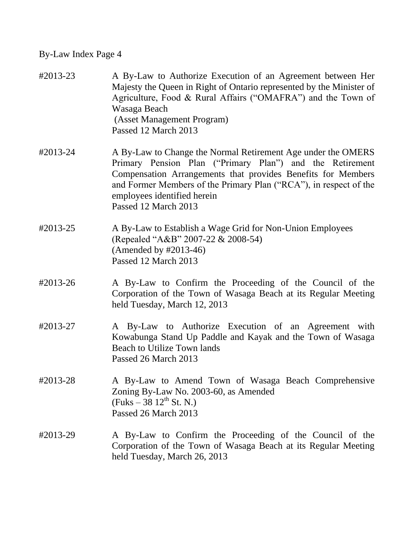| #2013-23 | A By-Law to Authorize Execution of an Agreement between Her<br>Majesty the Queen in Right of Ontario represented by the Minister of<br>Agriculture, Food & Rural Affairs ("OMAFRA") and the Town of<br>Wasaga Beach<br>(Asset Management Program)<br>Passed 12 March 2013                                            |
|----------|----------------------------------------------------------------------------------------------------------------------------------------------------------------------------------------------------------------------------------------------------------------------------------------------------------------------|
| #2013-24 | A By-Law to Change the Normal Retirement Age under the OMERS<br>Primary Pension Plan ("Primary Plan") and the Retirement<br>Compensation Arrangements that provides Benefits for Members<br>and Former Members of the Primary Plan ("RCA"), in respect of the<br>employees identified herein<br>Passed 12 March 2013 |
| #2013-25 | A By-Law to Establish a Wage Grid for Non-Union Employees<br>(Repealed "A&B" 2007-22 & 2008-54)<br>(Amended by $\#2013-46$ )<br>Passed 12 March 2013                                                                                                                                                                 |
| #2013-26 | A By-Law to Confirm the Proceeding of the Council of the<br>Corporation of the Town of Wasaga Beach at its Regular Meeting<br>held Tuesday, March 12, 2013                                                                                                                                                           |
| #2013-27 | A By-Law to Authorize Execution of an Agreement with<br>Kowabunga Stand Up Paddle and Kayak and the Town of Wasaga<br><b>Beach to Utilize Town lands</b><br>Passed 26 March 2013                                                                                                                                     |
| #2013-28 | A By-Law to Amend Town of Wasaga Beach Comprehensive<br>Zoning By-Law No. 2003-60, as Amended<br>$(Fuks - 38 \frac{12^{th}}{s} St. N.)$<br>Passed 26 March 2013                                                                                                                                                      |
| #2013-29 | A By-Law to Confirm the Proceeding of the Council of the<br>Corporation of the Town of Wasaga Beach at its Regular Meeting<br>held Tuesday, March 26, 2013                                                                                                                                                           |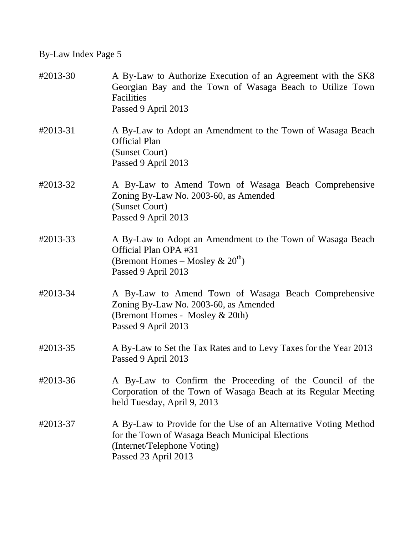| #2013-30 | A By-Law to Authorize Execution of an Agreement with the SK8<br>Georgian Bay and the Town of Wasaga Beach to Utilize Town<br>Facilities<br>Passed 9 April 2013             |
|----------|----------------------------------------------------------------------------------------------------------------------------------------------------------------------------|
| #2013-31 | A By-Law to Adopt an Amendment to the Town of Wasaga Beach<br><b>Official Plan</b><br>(Sunset Court)<br>Passed 9 April 2013                                                |
| #2013-32 | A By-Law to Amend Town of Wasaga Beach Comprehensive<br>Zoning By-Law No. 2003-60, as Amended<br>(Sunset Court)<br>Passed 9 April 2013                                     |
| #2013-33 | A By-Law to Adopt an Amendment to the Town of Wasaga Beach<br>Official Plan OPA #31<br>(Bremont Homes – Mosley $\& 20th$ )<br>Passed 9 April 2013                          |
| #2013-34 | A By-Law to Amend Town of Wasaga Beach Comprehensive<br>Zoning By-Law No. 2003-60, as Amended<br>(Bremont Homes - Mosley & 20th)<br>Passed 9 April 2013                    |
| #2013-35 | A By-Law to Set the Tax Rates and to Levy Taxes for the Year 2013<br>Passed 9 April 2013                                                                                   |
| #2013-36 | A By-Law to Confirm the Proceeding of the Council of the<br>Corporation of the Town of Wasaga Beach at its Regular Meeting<br>held Tuesday, April 9, 2013                  |
| #2013-37 | A By-Law to Provide for the Use of an Alternative Voting Method<br>for the Town of Wasaga Beach Municipal Elections<br>(Internet/Telephone Voting)<br>Passed 23 April 2013 |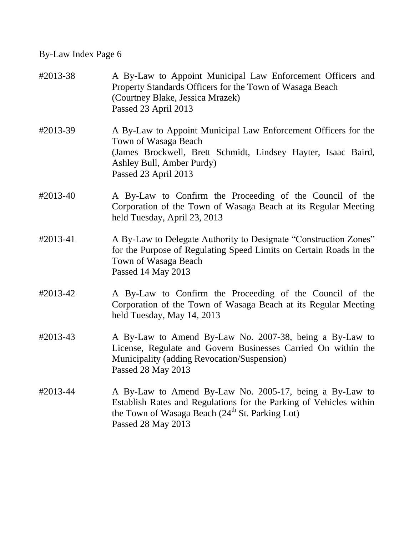| #2013-38 | A By-Law to Appoint Municipal Law Enforcement Officers and<br>Property Standards Officers for the Town of Wasaga Beach<br>(Courtney Blake, Jessica Mrazek)<br>Passed 23 April 2013                                 |
|----------|--------------------------------------------------------------------------------------------------------------------------------------------------------------------------------------------------------------------|
| #2013-39 | A By-Law to Appoint Municipal Law Enforcement Officers for the<br>Town of Wasaga Beach<br>(James Brockwell, Brett Schmidt, Lindsey Hayter, Isaac Baird,<br>Ashley Bull, Amber Purdy)<br>Passed 23 April 2013       |
| #2013-40 | A By-Law to Confirm the Proceeding of the Council of the<br>Corporation of the Town of Wasaga Beach at its Regular Meeting<br>held Tuesday, April 23, 2013                                                         |
| #2013-41 | A By-Law to Delegate Authority to Designate "Construction Zones"<br>for the Purpose of Regulating Speed Limits on Certain Roads in the<br>Town of Wasaga Beach<br>Passed 14 May 2013                               |
| #2013-42 | A By-Law to Confirm the Proceeding of the Council of the<br>Corporation of the Town of Wasaga Beach at its Regular Meeting<br>held Tuesday, May 14, 2013                                                           |
| #2013-43 | A By-Law to Amend By-Law No. 2007-38, being a By-Law to<br>License, Regulate and Govern Businesses Carried On within the<br>Municipality (adding Revocation/Suspension)<br>Passed 28 May 2013                      |
| #2013-44 | A By-Law to Amend By-Law No. 2005-17, being a By-Law to<br>Establish Rates and Regulations for the Parking of Vehicles within<br>the Town of Wasaga Beach (24 <sup>th</sup> St. Parking Lot)<br>Passed 28 May 2013 |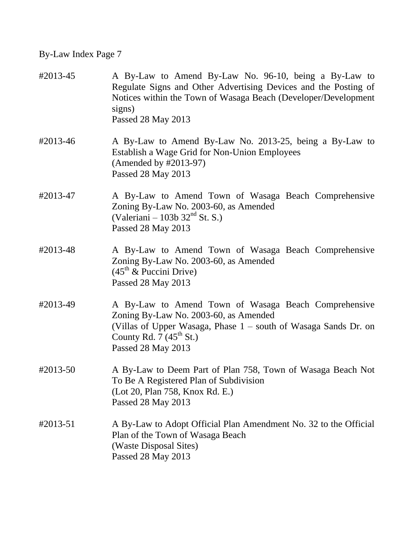| #2013-45 | A By-Law to Amend By-Law No. 96-10, being a By-Law to<br>Regulate Signs and Other Advertising Devices and the Posting of<br>Notices within the Town of Wasaga Beach (Developer/Development<br>signs)<br>Passed 28 May 2013    |
|----------|-------------------------------------------------------------------------------------------------------------------------------------------------------------------------------------------------------------------------------|
| #2013-46 | A By-Law to Amend By-Law No. 2013-25, being a By-Law to<br>Establish a Wage Grid for Non-Union Employees<br>(Amended by #2013-97)<br>Passed 28 May 2013                                                                       |
| #2013-47 | A By-Law to Amend Town of Wasaga Beach Comprehensive<br>Zoning By-Law No. 2003-60, as Amended<br>(Valeriani – 103b $32nd$ St. S.)<br>Passed 28 May 2013                                                                       |
| #2013-48 | A By-Law to Amend Town of Wasaga Beach Comprehensive<br>Zoning By-Law No. 2003-60, as Amended<br>$(45th \& \text{ Puccini Drive})$<br>Passed 28 May 2013                                                                      |
| #2013-49 | A By-Law to Amend Town of Wasaga Beach Comprehensive<br>Zoning By-Law No. 2003-60, as Amended<br>(Villas of Upper Wasaga, Phase 1 – south of Wasaga Sands Dr. on<br>County Rd. 7 $(45^{\text{th}}$ St.)<br>Passed 28 May 2013 |
| #2013-50 | A By-Law to Deem Part of Plan 758, Town of Wasaga Beach Not<br>To Be A Registered Plan of Subdivision<br>(Lot 20, Plan 758, Knox Rd. E.)<br>Passed 28 May 2013                                                                |
| #2013-51 | A By-Law to Adopt Official Plan Amendment No. 32 to the Official<br>Plan of the Town of Wasaga Beach<br>(Waste Disposal Sites)<br>Passed 28 May 2013                                                                          |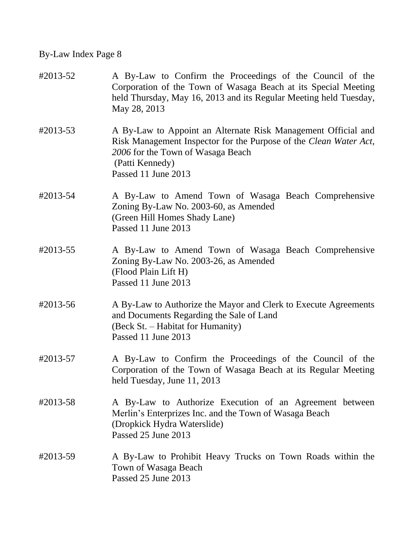| #2013-52 | A By-Law to Confirm the Proceedings of the Council of the<br>Corporation of the Town of Wasaga Beach at its Special Meeting<br>held Thursday, May 16, 2013 and its Regular Meeting held Tuesday,<br>May 28, 2013  |
|----------|-------------------------------------------------------------------------------------------------------------------------------------------------------------------------------------------------------------------|
| #2013-53 | A By-Law to Appoint an Alternate Risk Management Official and<br>Risk Management Inspector for the Purpose of the Clean Water Act,<br>2006 for the Town of Wasaga Beach<br>(Patti Kennedy)<br>Passed 11 June 2013 |
| #2013-54 | A By-Law to Amend Town of Wasaga Beach Comprehensive<br>Zoning By-Law No. 2003-60, as Amended<br>(Green Hill Homes Shady Lane)<br>Passed 11 June 2013                                                             |
| #2013-55 | A By-Law to Amend Town of Wasaga Beach Comprehensive<br>Zoning By-Law No. 2003-26, as Amended<br>(Flood Plain Lift H)<br>Passed 11 June 2013                                                                      |
| #2013-56 | A By-Law to Authorize the Mayor and Clerk to Execute Agreements<br>and Documents Regarding the Sale of Land<br>(Beck St. - Habitat for Humanity)<br>Passed 11 June 2013                                           |
| #2013-57 | A By-Law to Confirm the Proceedings of the Council of the<br>Corporation of the Town of Wasaga Beach at its Regular Meeting<br>held Tuesday, June 11, 2013                                                        |
| #2013-58 | A By-Law to Authorize Execution of an Agreement between<br>Merlin's Enterprizes Inc. and the Town of Wasaga Beach<br>(Dropkick Hydra Waterslide)<br>Passed 25 June 2013                                           |
| #2013-59 | A By-Law to Prohibit Heavy Trucks on Town Roads within the<br>Town of Wasaga Beach<br>Passed 25 June 2013                                                                                                         |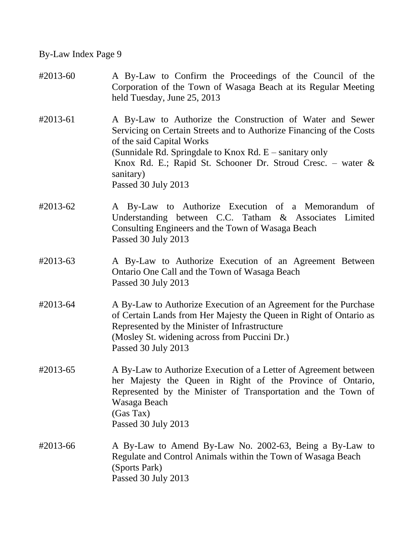| #2013-60 | A By-Law to Confirm the Proceedings of the Council of the<br>Corporation of the Town of Wasaga Beach at its Regular Meeting<br>held Tuesday, June 25, 2013                                                                                                                                                                        |
|----------|-----------------------------------------------------------------------------------------------------------------------------------------------------------------------------------------------------------------------------------------------------------------------------------------------------------------------------------|
| #2013-61 | A By-Law to Authorize the Construction of Water and Sewer<br>Servicing on Certain Streets and to Authorize Financing of the Costs<br>of the said Capital Works<br>(Sunnidale Rd. Springdale to Knox Rd. $E$ – sanitary only<br>Knox Rd. E.; Rapid St. Schooner Dr. Stroud Cresc. – water $\&$<br>sanitary)<br>Passed 30 July 2013 |
| #2013-62 | A By-Law to Authorize Execution of a Memorandum of<br>Understanding between C.C. Tatham & Associates Limited<br>Consulting Engineers and the Town of Wasaga Beach<br>Passed 30 July 2013                                                                                                                                          |
| #2013-63 | A By-Law to Authorize Execution of an Agreement Between<br>Ontario One Call and the Town of Wasaga Beach<br>Passed 30 July 2013                                                                                                                                                                                                   |
| #2013-64 | A By-Law to Authorize Execution of an Agreement for the Purchase<br>of Certain Lands from Her Majesty the Queen in Right of Ontario as<br>Represented by the Minister of Infrastructure<br>(Mosley St. widening across from Puccini Dr.)<br>Passed 30 July 2013                                                                   |
| #2013-65 | A By-Law to Authorize Execution of a Letter of Agreement between<br>her Majesty the Queen in Right of the Province of Ontario,<br>Represented by the Minister of Transportation and the Town of<br>Wasaga Beach<br>(Gas Tax)<br>Passed 30 July 2013                                                                               |
| #2013-66 | A By-Law to Amend By-Law No. 2002-63, Being a By-Law to<br>Regulate and Control Animals within the Town of Wasaga Beach<br>(Sports Park)<br>Passed 30 July 2013                                                                                                                                                                   |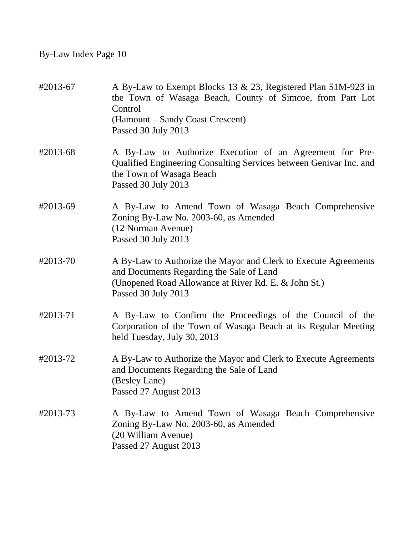| #2013-67 | A By-Law to Exempt Blocks 13 & 23, Registered Plan 51M-923 in<br>the Town of Wasaga Beach, County of Simcoe, from Part Lot<br>Control<br>(Hamount – Sandy Coast Crescent)<br>Passed 30 July 2013 |
|----------|--------------------------------------------------------------------------------------------------------------------------------------------------------------------------------------------------|
| #2013-68 | A By-Law to Authorize Execution of an Agreement for Pre-<br>Qualified Engineering Consulting Services between Genivar Inc. and<br>the Town of Wasaga Beach<br>Passed 30 July 2013                |
| #2013-69 | A By-Law to Amend Town of Wasaga Beach Comprehensive<br>Zoning By-Law No. 2003-60, as Amended<br>(12 Norman Avenue)<br>Passed 30 July 2013                                                       |
| #2013-70 | A By-Law to Authorize the Mayor and Clerk to Execute Agreements<br>and Documents Regarding the Sale of Land<br>(Unopened Road Allowance at River Rd. E. & John St.)<br>Passed 30 July 2013       |
| #2013-71 | A By-Law to Confirm the Proceedings of the Council of the<br>Corporation of the Town of Wasaga Beach at its Regular Meeting<br>held Tuesday, July 30, 2013                                       |
| #2013-72 | A By-Law to Authorize the Mayor and Clerk to Execute Agreements<br>and Documents Regarding the Sale of Land<br>(Besley Lane)<br>Passed 27 August 2013                                            |
| #2013-73 | A By-Law to Amend Town of Wasaga Beach Comprehensive<br>Zoning By-Law No. 2003-60, as Amended<br>(20 William Avenue)<br>Passed 27 August 2013                                                    |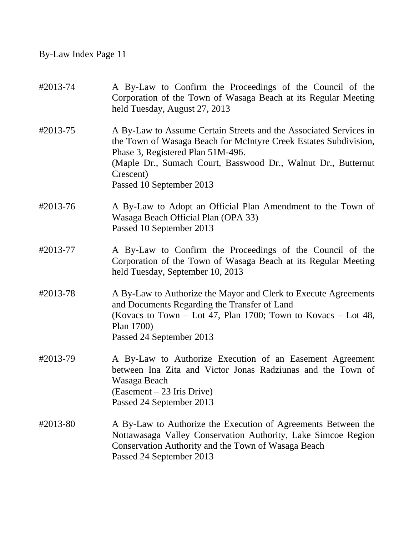| #2013-74 | A By-Law to Confirm the Proceedings of the Council of the<br>Corporation of the Town of Wasaga Beach at its Regular Meeting<br>held Tuesday, August 27, 2013                                                                                                                         |
|----------|--------------------------------------------------------------------------------------------------------------------------------------------------------------------------------------------------------------------------------------------------------------------------------------|
| #2013-75 | A By-Law to Assume Certain Streets and the Associated Services in<br>the Town of Wasaga Beach for McIntyre Creek Estates Subdivision,<br>Phase 3, Registered Plan 51M-496.<br>(Maple Dr., Sumach Court, Basswood Dr., Walnut Dr., Butternut<br>Crescent)<br>Passed 10 September 2013 |
| #2013-76 | A By-Law to Adopt an Official Plan Amendment to the Town of<br>Wasaga Beach Official Plan (OPA 33)<br>Passed 10 September 2013                                                                                                                                                       |
| #2013-77 | A By-Law to Confirm the Proceedings of the Council of the<br>Corporation of the Town of Wasaga Beach at its Regular Meeting<br>held Tuesday, September 10, 2013                                                                                                                      |
| #2013-78 | A By-Law to Authorize the Mayor and Clerk to Execute Agreements<br>and Documents Regarding the Transfer of Land<br>(Kovacs to Town – Lot 47, Plan 1700; Town to Kovacs – Lot 48,<br>Plan 1700)<br>Passed 24 September 2013                                                           |
| #2013-79 | A By-Law to Authorize Execution of an Easement Agreement<br>between Ina Zita and Victor Jonas Radziunas and the Town of<br>Wasaga Beach<br>(Easement – 23 Iris Drive)<br>Passed 24 September 2013                                                                                    |
| #2013-80 | A By-Law to Authorize the Execution of Agreements Between the<br>Nottawasaga Valley Conservation Authority, Lake Simcoe Region<br>Conservation Authority and the Town of Wasaga Beach<br>Passed 24 September 2013                                                                    |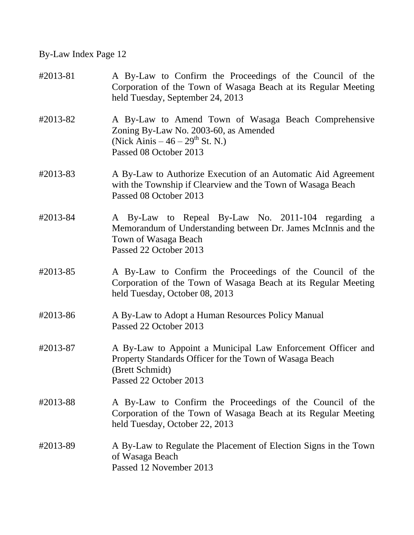| #2013-81 | A By-Law to Confirm the Proceedings of the Council of the<br>Corporation of the Town of Wasaga Beach at its Regular Meeting<br>held Tuesday, September 24, 2013         |
|----------|-------------------------------------------------------------------------------------------------------------------------------------------------------------------------|
| #2013-82 | A By-Law to Amend Town of Wasaga Beach Comprehensive<br>Zoning By-Law No. 2003-60, as Amended<br>(Nick Ainis $-46 - 29$ <sup>th</sup> St. N.)<br>Passed 08 October 2013 |
| #2013-83 | A By-Law to Authorize Execution of an Automatic Aid Agreement<br>with the Township if Clearview and the Town of Wasaga Beach<br>Passed 08 October 2013                  |
| #2013-84 | A By-Law to Repeal By-Law No. 2011-104 regarding a<br>Memorandum of Understanding between Dr. James McInnis and the<br>Town of Wasaga Beach<br>Passed 22 October 2013   |
| #2013-85 | A By-Law to Confirm the Proceedings of the Council of the<br>Corporation of the Town of Wasaga Beach at its Regular Meeting<br>held Tuesday, October 08, 2013           |
| #2013-86 | A By-Law to Adopt a Human Resources Policy Manual<br>Passed 22 October 2013                                                                                             |
| #2013-87 | A By-Law to Appoint a Municipal Law Enforcement Officer and<br>Property Standards Officer for the Town of Wasaga Beach<br>(Brett Schmidt)<br>Passed 22 October 2013     |
| #2013-88 | A By-Law to Confirm the Proceedings of the Council of the<br>Corporation of the Town of Wasaga Beach at its Regular Meeting<br>held Tuesday, October 22, 2013           |
| #2013-89 | A By-Law to Regulate the Placement of Election Signs in the Town<br>of Wasaga Beach<br>Passed 12 November 2013                                                          |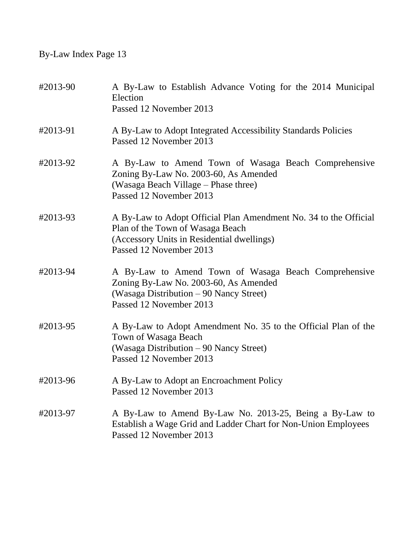| #2013-90 | A By-Law to Establish Advance Voting for the 2014 Municipal<br>Election<br>Passed 12 November 2013                                                                            |
|----------|-------------------------------------------------------------------------------------------------------------------------------------------------------------------------------|
| #2013-91 | A By-Law to Adopt Integrated Accessibility Standards Policies<br>Passed 12 November 2013                                                                                      |
| #2013-92 | A By-Law to Amend Town of Wasaga Beach Comprehensive<br>Zoning By-Law No. 2003-60, As Amended<br>(Wasaga Beach Village – Phase three)<br>Passed 12 November 2013              |
| #2013-93 | A By-Law to Adopt Official Plan Amendment No. 34 to the Official<br>Plan of the Town of Wasaga Beach<br>(Accessory Units in Residential dwellings)<br>Passed 12 November 2013 |
| #2013-94 | A By-Law to Amend Town of Wasaga Beach Comprehensive<br>Zoning By-Law No. 2003-60, As Amended<br>(Wasaga Distribution - 90 Nancy Street)<br>Passed 12 November 2013           |
| #2013-95 | A By-Law to Adopt Amendment No. 35 to the Official Plan of the<br>Town of Wasaga Beach<br>(Wasaga Distribution – 90 Nancy Street)<br>Passed 12 November 2013                  |
| #2013-96 | A By-Law to Adopt an Encroachment Policy<br>Passed 12 November 2013                                                                                                           |
| #2013-97 | A By-Law to Amend By-Law No. 2013-25, Being a By-Law to<br>Establish a Wage Grid and Ladder Chart for Non-Union Employees<br>Passed 12 November 2013                          |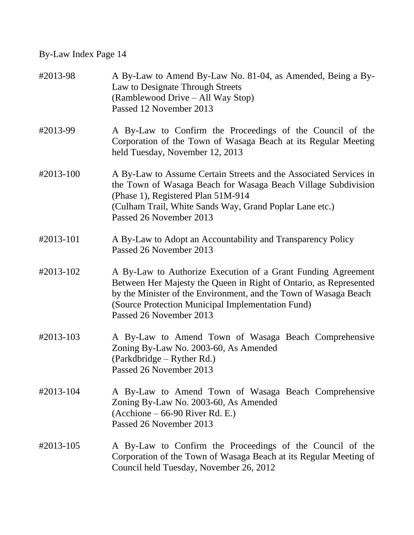| #2013-98  | A By-Law to Amend By-Law No. 81-04, as Amended, Being a By-<br>Law to Designate Through Streets<br>(Ramblewood Drive – All Way Stop)<br>Passed 12 November 2013                                                                                                                       |
|-----------|---------------------------------------------------------------------------------------------------------------------------------------------------------------------------------------------------------------------------------------------------------------------------------------|
| #2013-99  | A By-Law to Confirm the Proceedings of the Council of the<br>Corporation of the Town of Wasaga Beach at its Regular Meeting<br>held Tuesday, November 12, 2013                                                                                                                        |
| #2013-100 | A By-Law to Assume Certain Streets and the Associated Services in<br>the Town of Wasaga Beach for Wasaga Beach Village Subdivision<br>(Phase 1), Registered Plan 51M-914<br>(Culham Trail, White Sands Way, Grand Poplar Lane etc.)<br>Passed 26 November 2013                        |
| #2013-101 | A By-Law to Adopt an Accountability and Transparency Policy<br>Passed 26 November 2013                                                                                                                                                                                                |
| #2013-102 | A By-Law to Authorize Execution of a Grant Funding Agreement<br>Between Her Majesty the Queen in Right of Ontario, as Represented<br>by the Minister of the Environment, and the Town of Wasaga Beach<br>(Source Protection Municipal Implementation Fund)<br>Passed 26 November 2013 |
| #2013-103 | A By-Law to Amend Town of Wasaga Beach Comprehensive<br>Zoning By-Law No. 2003-60, As Amended<br>(Parkdbridge – Ryther Rd.)<br>Passed 26 November 2013                                                                                                                                |
| #2013-104 | A By-Law to Amend Town of Wasaga Beach Comprehensive<br>Zoning By-Law No. 2003-60, As Amended<br>$(Acchione - 66-90 River Rd. E.)$<br>Passed 26 November 2013                                                                                                                         |
| #2013-105 | A By-Law to Confirm the Proceedings of the Council of the<br>Corporation of the Town of Wasaga Beach at its Regular Meeting of<br>Council held Tuesday, November 26, 2012                                                                                                             |